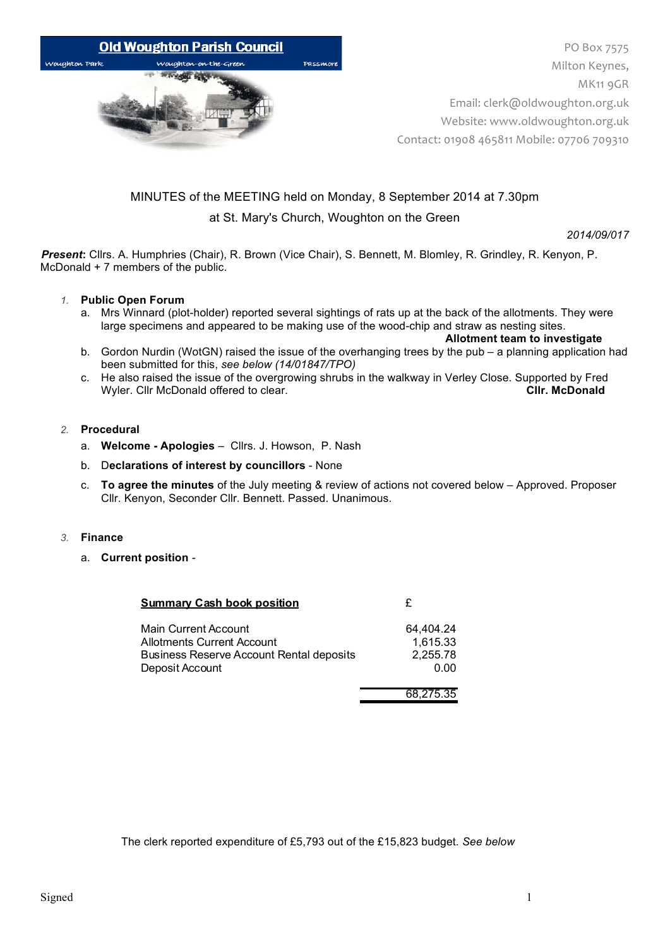

# MINUTES of the MEETING held on Monday, 8 September 2014 at 7.30pm at St. Mary's Church, Woughton on the Green

*2014/09/017*

*Present***:** Cllrs. A. Humphries (Chair), R. Brown (Vice Chair), S. Bennett, M. Blomley, R. Grindley, R. Kenyon, P. McDonald + 7 members of the public.

## *1.* **Public Open Forum**

a. Mrs Winnard (plot-holder) reported several sightings of rats up at the back of the allotments. They were large specimens and appeared to be making use of the wood-chip and straw as nesting sites.

**Allotment team to investigate**

- b. Gordon Nurdin (WotGN) raised the issue of the overhanging trees by the pub a planning application had been submitted for this, *see below (14/01847/TPO)*
- c. He also raised the issue of the overgrowing shrubs in the walkway in Verley Close. Supported by Fred<br>Wyler. Cllr McDonald offered to clear. Wyler. Cllr McDonald offered to clear.

## *2.* **Procedural**

- a. **Welcome - Apologies** *–* Cllrs. J. Howson, P. Nash
- b. D**eclarations of interest by councillors**  None
- c. **To agree the minutes** of the July meeting & review of actions not covered below Approved. Proposer Cllr. Kenyon, Seconder Cllr. Bennett. Passed. Unanimous.

### *3.* **Finance**

a. **Current position** *-*

| <b>Summary Cash book position</b>        |           |
|------------------------------------------|-----------|
| Main Current Account                     | 64.404.24 |
| Allotments Current Account               | 1,615.33  |
| Business Reserve Account Rental deposits | 2,255.78  |
| Deposit Account                          | 0.00      |
|                                          | 68,275.35 |

The clerk reported expenditure of £5,793 out of the £15,823 budget. *See below*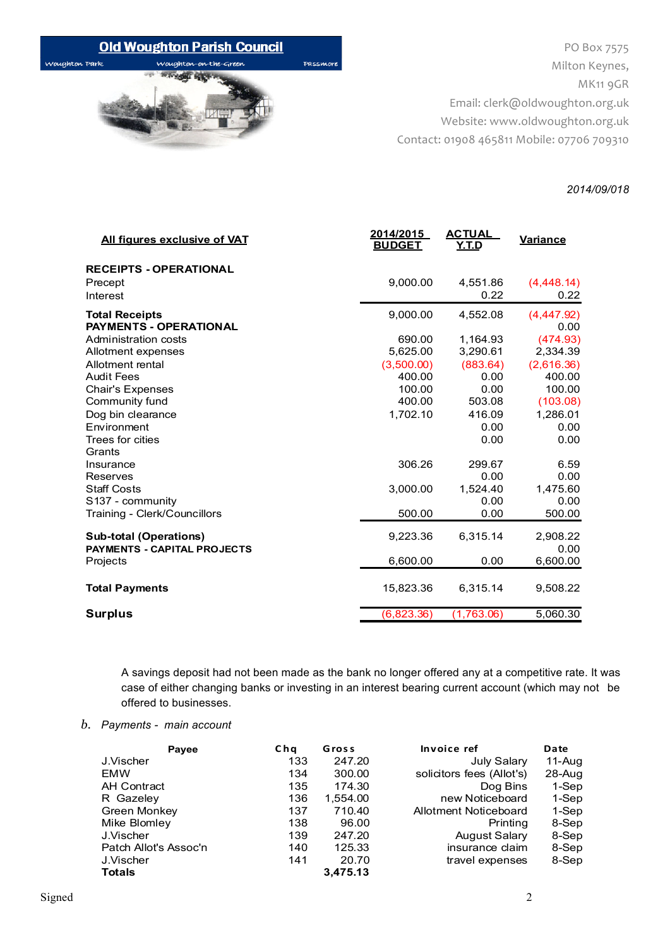# **Old Woughton Parish Council**

Woughton Park

wa

PO Box 7575 Milton Keynes, MK11 9GR Email: clerk@oldwoughton.org.uk Website: www.oldwoughton.org.uk Contact: 01908 465811 Mobile: 07706 709310

### *2014/09/018*

| <b>All figures exclusive of VAT</b>                                 | 2014/2015<br><b>BUDGET</b> | <b>ACTUAL</b><br>Y.T.D | <b>Variance</b>    |
|---------------------------------------------------------------------|----------------------------|------------------------|--------------------|
| <b>RECEIPTS - OPERATIONAL</b><br>Precept<br>Interest                | 9,000.00                   | 4,551.86<br>0.22       | (4,448.14)<br>0.22 |
| <b>Total Receipts</b><br><b>PAYMENTS - OPERATIONAL</b>              | 9,000.00                   | 4,552.08               | (4,447.92)<br>0.00 |
| Administration costs                                                | 690.00                     | 1,164.93               | (474.93)           |
| Allotment expenses                                                  | 5,625.00                   | 3,290.61               | 2,334.39           |
| Allotment rental                                                    | (3,500.00)                 | (883.64)               | (2,616.36)         |
| <b>Audit Fees</b>                                                   | 400.00                     | 0.00                   | 400.00             |
| Chair's Expenses                                                    | 100.00                     | 0.00                   | 100.00             |
| Community fund                                                      | 400.00                     | 503.08                 | (103.08)           |
| Dog bin clearance                                                   | 1,702.10                   | 416.09                 | 1,286.01           |
| Environment                                                         |                            | 0.00                   | 0.00               |
| Trees for cities                                                    |                            | 0.00                   | 0.00               |
| Grants                                                              |                            |                        |                    |
| Insurance                                                           | 306.26                     | 299.67                 | 6.59               |
| Reserves                                                            |                            | 0.00                   | 0.00               |
| <b>Staff Costs</b>                                                  | 3,000.00                   | 1,524.40               | 1,475.60           |
| S137 - community                                                    |                            | 0.00                   | 0.00               |
| Training - Clerk/Councillors                                        | 500.00                     | 0.00                   | 500.00             |
| <b>Sub-total (Operations)</b><br><b>PAYMENTS - CAPITAL PROJECTS</b> | 9,223.36                   | 6,315.14               | 2,908.22<br>0.00   |
| Projects                                                            | 6,600.00                   | 0.00                   | 6,600.00           |
| <b>Total Payments</b>                                               | 15,823.36                  | 6,315.14               | 9,508.22           |
| <b>Surplus</b>                                                      | (6,823.36)                 | (1,763.06)             | 5,060.30           |
|                                                                     |                            |                        |                    |

Passmon

A savings deposit had not been made as the bank no longer offered any at a competitive rate. It was case of either changing banks or investing in an interest bearing current account (which may not be offered to businesses.

# *b. Payments - main account*

| Payee                 | Cha | Gross    | Invoice ref               | Date   |
|-----------------------|-----|----------|---------------------------|--------|
| J.Vischer             | 133 | 247.20   | <b>July Salary</b>        | 11-Aug |
| EMW                   | 134 | 300.00   | solicitors fees (Allot's) | 28-Aug |
| <b>AH Contract</b>    | 135 | 174.30   | Dog Bins                  | 1-Sep  |
| R Gazeley             | 136 | 1,554.00 | new Noticeboard           | 1-Sep  |
| Green Monkey          | 137 | 710.40   | Allotment Noticeboard     | 1-Sep  |
| Mike Blomley          | 138 | 96.00    | Printing                  | 8-Sep  |
| J.Vischer             | 139 | 247.20   | <b>August Salary</b>      | 8-Sep  |
| Patch Allot's Assoc'n | 140 | 125.33   | insurance claim           | 8-Sep  |
| J.Vischer             | 141 | 20.70    | travel expenses           | 8-Sep  |
| <b>Totals</b>         |     | 3,475.13 |                           |        |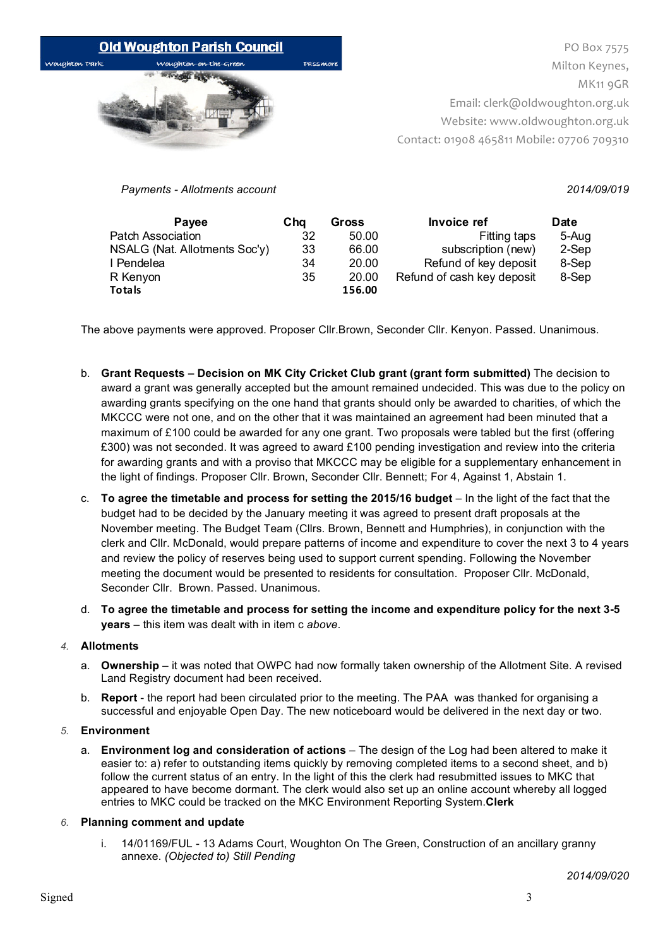

PO Box 7575 Milton Keynes, MK<sub>11</sub> 9GR Email: clerk@oldwoughton.org.uk Website: www.oldwoughton.org.uk Contact: 01908 465811 Mobile: 07706 709310

*Payments - Allotments account 2014/09/019*

| <b>Pavee</b>                  | Cha | Gross  | <b>Invoice ref</b>         | Date  |
|-------------------------------|-----|--------|----------------------------|-------|
| Patch Association             | 32  | 50.00  | Fitting taps               | 5-Aug |
| NSALG (Nat. Allotments Soc'y) | 33  | 66.00  | subscription (new)         | 2-Sep |
| I Pendelea                    | 34  | 20.00  | Refund of key deposit      | 8-Sep |
| R Kenyon                      | 35  | 20.00  | Refund of cash key deposit | 8-Sep |
| Totals                        |     | 156.00 |                            |       |

The above payments were approved. Proposer Cllr.Brown, Seconder Cllr. Kenyon. Passed. Unanimous.

- b. **Grant Requests – Decision on MK City Cricket Club grant (grant form submitted)** The decision to award a grant was generally accepted but the amount remained undecided. This was due to the policy on awarding grants specifying on the one hand that grants should only be awarded to charities, of which the MKCCC were not one, and on the other that it was maintained an agreement had been minuted that a maximum of £100 could be awarded for any one grant. Two proposals were tabled but the first (offering £300) was not seconded. It was agreed to award £100 pending investigation and review into the criteria for awarding grants and with a proviso that MKCCC may be eligible for a supplementary enhancement in the light of findings. Proposer Cllr. Brown, Seconder Cllr. Bennett; For 4, Against 1, Abstain 1.
- c. **To agree the timetable and process for setting the 2015/16 budget In the light of the fact that the** budget had to be decided by the January meeting it was agreed to present draft proposals at the November meeting. The Budget Team (Cllrs. Brown, Bennett and Humphries), in conjunction with the clerk and Cllr. McDonald, would prepare patterns of income and expenditure to cover the next 3 to 4 years and review the policy of reserves being used to support current spending. Following the November meeting the document would be presented to residents for consultation. Proposer Cllr. McDonald, Seconder Cllr. Brown. Passed. Unanimous.
- d. **To agree the timetable and process for setting the income and expenditure policy for the next 3-5 years** – this item was dealt with in item c *above*.

# *4.* **Allotments**

- a. **Ownership**  it was noted that OWPC had now formally taken ownership of the Allotment Site. A revised Land Registry document had been received.
- b. **Report**  the report had been circulated prior to the meeting. The PAA was thanked for organising a successful and enjoyable Open Day. The new noticeboard would be delivered in the next day or two.

# *5.* **Environment**

a. **Environment log and consideration of actions** – The design of the Log had been altered to make it easier to: a) refer to outstanding items quickly by removing completed items to a second sheet, and b) follow the current status of an entry. In the light of this the clerk had resubmitted issues to MKC that appeared to have become dormant. The clerk would also set up an online account whereby all logged entries to MKC could be tracked on the MKC Environment Reporting System.**Clerk**

# *6.* **Planning comment and update**

i. 14/01169/FUL - 13 Adams Court, Woughton On The Green, Construction of an ancillary granny annexe. *(Objected to) Still Pending*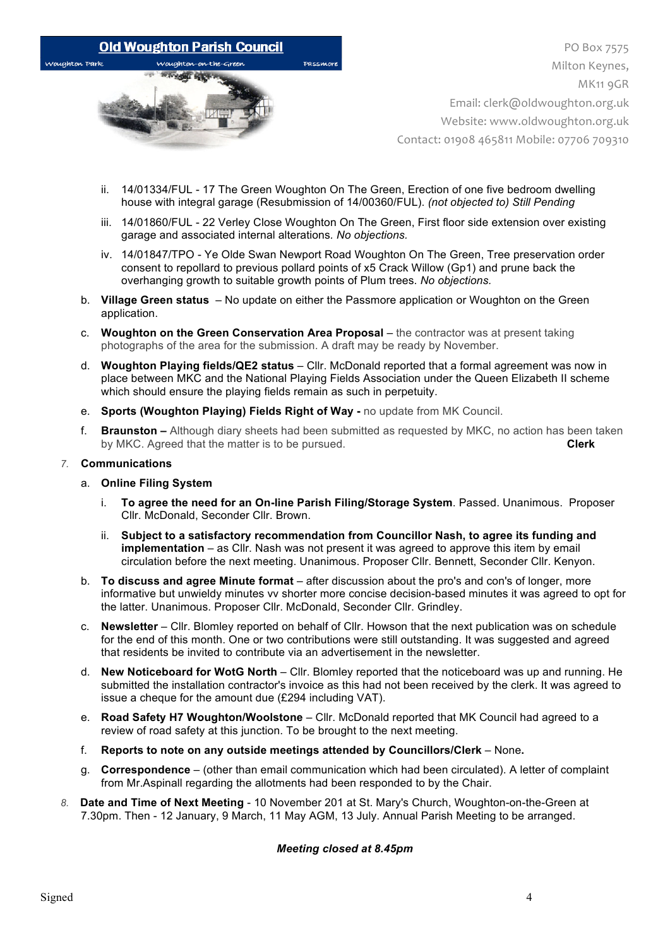

PO Box 7575 Milton Keynes, MK<sub>11</sub> 9GR Email: clerk@oldwoughton.org.uk Website: www.oldwoughton.org.uk Contact: 01908 465811 Mobile: 07706 709310

- ii. 14/01334/FUL 17 The Green Woughton On The Green, Erection of one five bedroom dwelling house with integral garage (Resubmission of 14/00360/FUL). *(not objected to) Still Pending*
- iii. 14/01860/FUL 22 Verley Close Woughton On The Green, First floor side extension over existing garage and associated internal alterations*. No objections.*
- iv. 14/01847/TPO Ye Olde Swan Newport Road Woughton On The Green, Tree preservation order consent to repollard to previous pollard points of x5 Crack Willow (Gp1) and prune back the overhanging growth to suitable growth points of Plum trees. *No objections.*
- b. **Village Green status** No update on either the Passmore application or Woughton on the Green application.
- c. **Woughton on the Green Conservation Area Proposal**  the contractor was at present taking photographs of the area for the submission. A draft may be ready by November.
- d. **Woughton Playing fields/QE2 status** Cllr. McDonald reported that a formal agreement was now in place between MKC and the National Playing Fields Association under the Queen Elizabeth II scheme which should ensure the playing fields remain as such in perpetuity.
- e. **Sports (Woughton Playing) Fields Right of Way -** no update from MK Council.
- f. **Braunston –** Although diary sheets had been submitted as requested by MKC, no action has been taken by MKC. Agreed that the matter is to be pursued. **Clerk**

## *7.* **Communications**

- a. **Online Filing System**
	- i. **To agree the need for an On-line Parish Filing/Storage System**. Passed. Unanimous. Proposer Cllr. McDonald, Seconder Cllr. Brown.
	- ii. **Subject to a satisfactory recommendation from Councillor Nash, to agree its funding and implementation** – as Cllr. Nash was not present it was agreed to approve this item by email circulation before the next meeting. Unanimous. Proposer Cllr. Bennett, Seconder Cllr. Kenyon.
- b. **To discuss and agree Minute format**  after discussion about the pro's and con's of longer, more informative but unwieldy minutes vv shorter more concise decision-based minutes it was agreed to opt for the latter. Unanimous. Proposer Cllr. McDonald, Seconder Cllr. Grindley.
- c. **Newsletter**  Cllr. Blomley reported on behalf of Cllr. Howson that the next publication was on schedule for the end of this month. One or two contributions were still outstanding. It was suggested and agreed that residents be invited to contribute via an advertisement in the newsletter.
- d. **New Noticeboard for WotG North** Cllr. Blomley reported that the noticeboard was up and running. He submitted the installation contractor's invoice as this had not been received by the clerk. It was agreed to issue a cheque for the amount due (£294 including VAT).
- e. **Road Safety H7 Woughton/Woolstone**  Cllr. McDonald reported that MK Council had agreed to a review of road safety at this junction. To be brought to the next meeting.
- f. **Reports to note on any outside meetings attended by Councillors/Clerk** None**.**
- g. **Correspondence** (other than email communication which had been circulated). A letter of complaint from Mr.Aspinall regarding the allotments had been responded to by the Chair.
- *8.* **Date and Time of Next Meeting** 10 November 201 at St. Mary's Church, Woughton-on-the-Green at 7.30pm. Then - 12 January, 9 March, 11 May AGM, 13 July. Annual Parish Meeting to be arranged.

# *Meeting closed at 8.45pm*